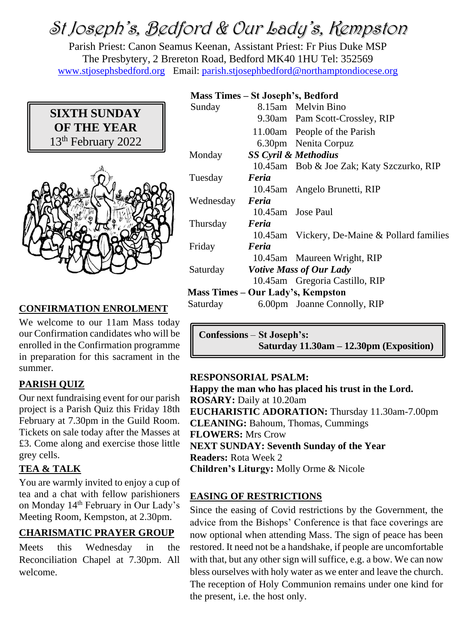# St Joseph's, Bedford & Our Lady's, Kempston

Parish Priest: Canon Seamus Keenan, Assistant Priest: Fr Pius Duke MSP The Presbytery, 2 Brereton Road, Bedford MK40 1HU Tel: 352569 [www.stjosephsbedford.org](http://www.stjosephsbedford.org/) Email: [parish.stjosephbedford@northamptondiocese.org](mailto:parish.stjosephbedford@northamptondiocese.org)

## **SIXTH SUNDAY OF THE YEAR** 13th February 2022



## **CONFIRMATION ENROLMENT**

We welcome to our 11am Mass today our Confirmation candidates who will be enrolled in the Confirmation programme in preparation for this sacrament in the summer.

## **PARISH QUIZ**

Our next fundraising event for our parish project is a Parish Quiz this Friday 18th February at 7.30pm in the Guild Room. Tickets on sale today after the Masses at £3. Come along and exercise those little grey cells.

## **TEA & TALK**

You are warmly invited to enjoy a cup of tea and a chat with fellow parishioners on Monday 14<sup>th</sup> February in Our Lady's Meeting Room, Kempston, at 2.30pm.

## **CHARISMATIC PRAYER GROUP**

Meets this Wednesday in the Reconciliation Chapel at 7.30pm. All welcome.

#### **Mass Times – St Joseph's, Bedford**

| плазя типсэ                       |                                         | <b>De ovsepie sy Deutoru</b>                 |  |
|-----------------------------------|-----------------------------------------|----------------------------------------------|--|
| Sunday                            |                                         | 8.15am Melvin Bino                           |  |
|                                   |                                         | 9.30am Pam Scott-Crossley, RIP               |  |
|                                   |                                         | 11.00am People of the Parish                 |  |
|                                   |                                         | 6.30pm Nenita Corpuz                         |  |
| Monday                            |                                         | <b>SS Cyril &amp; Methodius</b>              |  |
|                                   |                                         | 10.45am Bob & Joe Zak; Katy Szczurko, RIP    |  |
| Tuesday                           | Feria                                   |                                              |  |
|                                   |                                         | 10.45am Angelo Brunetti, RIP                 |  |
| Wednesday                         | Feria                                   |                                              |  |
|                                   |                                         | 10.45am Jose Paul                            |  |
| Thursday                          | Feria                                   |                                              |  |
|                                   |                                         | 10.45am Vickery, De-Maine & Pollard families |  |
| Friday                            | Feria                                   |                                              |  |
|                                   |                                         | 10.45am Maureen Wright, RIP                  |  |
|                                   | Saturday <i>Votive Mass of Our Lady</i> |                                              |  |
|                                   |                                         | 10.45am Gregoria Castillo, RIP               |  |
| Mass Times – Our Lady's, Kempston |                                         |                                              |  |
| Saturday                          |                                         | 6.00pm Joanne Connolly, RIP                  |  |
|                                   |                                         |                                              |  |

| Confessions – St Joseph's:                   |
|----------------------------------------------|
| Saturday $11.30$ am $-12.30$ pm (Exposition) |

#### **RESPONSORIAL PSALM:**

**Happy the man who has placed his trust in the Lord. ROSARY:** Daily at 10.20am **EUCHARISTIC ADORATION:** Thursday 11.30am-7.00pm **CLEANING:** Bahoum, Thomas, Cummings **FLOWERS:** Mrs Crow **NEXT SUNDAY: Seventh Sunday of the Year Readers:** Rota Week 2 **Children's Liturgy:** Molly Orme & Nicole

#### **EASING OF RESTRICTIONS**

Since the easing of Covid restrictions by the Government, the advice from the Bishops' Conference is that face coverings are now optional when attending Mass. The sign of peace has been restored. It need not be a handshake, if people are uncomfortable with that, but any other sign will suffice, e.g. a bow. We can now bless ourselves with holy water as we enter and leave the church. The reception of Holy Communion remains under one kind for the present, i.e. the host only.